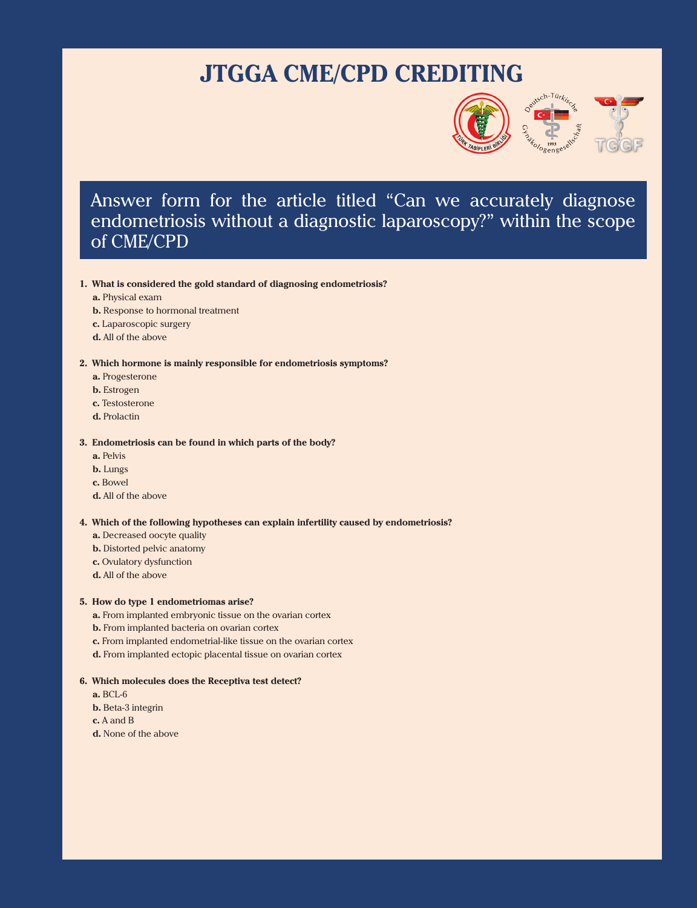# **JTGGA CME/CPD CREDITING**



## Answer form for the article titled "Can we accurately diagnose endometriosis without a diagnostic laparoscopy?" within the scope of CME/CPD

#### **1. What is considered the gold standard of diagnosing endometriosis?**

**a.** Physical exam

- **b.** Response to hormonal treatment
- **c.** Laparoscopic surgery
- **d.** All of the above

#### **2. Which hormone is mainly responsible for endometriosis symptoms?**

- **a.** Progesterone
- **b.** Estrogen
- **c.** Testosterone
- **d.** Prolactin

#### **3. Endometriosis can be found in which parts of the body?**

- **a.** Pelvis
- **b.** Lungs
- **c.** Bowel
- **d.** All of the above

#### **4. Which of the following hypotheses can explain infertility caused by endometriosis?**

- **a.** Decreased oocyte quality
- **b.** Distorted pelvic anatomy
- **c.** Ovulatory dysfunction
- **d.** All of the above

#### **5. How do type 1 endometriomas arise?**

- **a.** From implanted embryonic tissue on the ovarian cortex
- **b.** From implanted bacteria on ovarian cortex
- **c.** From implanted endometrial-like tissue on the ovarian cortex
- **d.** From implanted ectopic placental tissue on ovarian cortex

#### **6. Which molecules does the Receptiva test detect?**

- **a.** BCL-6
- **b.** Beta-3 integrin
- **c.** A and B
- **d.** None of the above